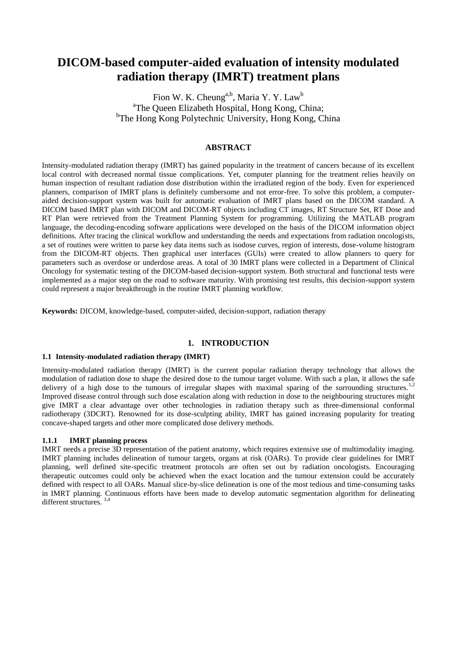# **DICOM-based computer-aided evaluation of intensity modulated radiation therapy (IMRT) treatment plans**

Fion W. K. Cheung<sup>a,b</sup>, Maria Y. Y. Law<sup>b</sup> <sup>a</sup>The Queen Elizabeth Hospital, Hong Kong, China; <sup>b</sup>The Hong Kong Polytechnic University, Hong Kong, China

# **ABSTRACT**

Intensity*-*modulated radiation therapy (IMRT) has gained popularity in the treatment of cancers because of its excellent local control with decreased normal tissue complications. Yet, computer planning for the treatment relies heavily on human inspection of resultant radiation dose distribution within the irradiated region of the body. Even for experienced planners, comparison of IMRT plans is definitely cumbersome and not error-free. To solve this problem, a computeraided decision-support system was built for automatic evaluation of IMRT plans based on the DICOM standard. A DICOM based IMRT plan with DICOM and DICOM-RT objects including CT images, RT Structure Set, RT Dose and RT Plan were retrieved from the Treatment Planning System for programming. Utilizing the MATLAB program language, the decoding-encoding software applications were developed on the basis of the DICOM information object definitions. After tracing the clinical workflow and understanding the needs and expectations from radiation oncologists, a set of routines were written to parse key data items such as isodose curves, region of interests, dose-volume histogram from the DICOM-RT objects. Then graphical user interfaces (GUIs) were created to allow planners to query for parameters such as overdose or underdose areas. A total of 30 IMRT plans were collected in a Department of Clinical Oncology for systematic testing of the DICOM-based decision-support system. Both structural and functional tests were implemented as a major step on the road to software maturity. With promising test results, this decision-support system could represent a major breakthrough in the routine IMRT planning workflow.

**Keywords:** DICOM, knowledge-based, computer-aided, decision-support, radiation therapy

# **1. INTRODUCTION**

## **1.1 Intensity-modulated radiation therapy (IMRT)**

Intensity-modulated radiation therapy (IMRT) is the current popular radiation therapy technology that allows the modulation of radiation dose to shape the desired dose to the tumour target volume. With such a plan, it allows the safe delivery of a high dose to the tumours of irregular shapes with maximal sparing of the surrounding structures.<sup>1,2</sup> Improved disease control through such dose escalation along with reduction in dose to the neighbouring structures might give IMRT a clear advantage over other technologies in radiation therapy such as three-dimensional conformal radiotherapy (3DCRT). Renowned for its dose-sculpting ability, IMRT has gained increasing popularity for treating concave-shaped targets and other more complicated dose delivery methods.

## **1.1.1 IMRT planning process**

IMRT needs a precise 3D representation of the patient anatomy, which requires extensive use of multimodality imaging. IMRT planning includes delineation of tumour targets, organs at risk (OARs). To provide clear guidelines for IMRT planning, well defined site-specific treatment protocols are often set out by radiation oncologists. Encouraging therapeutic outcomes could only be achieved when the exact location and the tumour extension could be accurately defined with respect to all OARs. Manual slice-by-slice delineation is one of the most tedious and time-consuming tasks in IMRT planning. Continuous efforts have been made to develop automatic segmentation algorithm for delineating different structures.<sup>3,4</sup>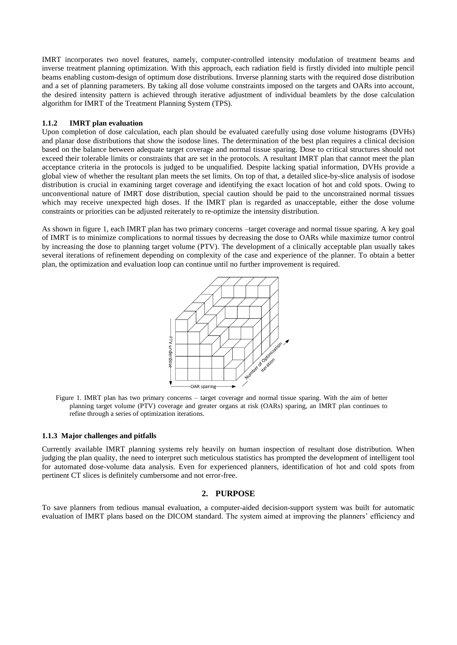IMRT incorporates two novel features, namely, computer-controlled intensity modulation of treatment beams and inverse treatment planning optimization. With this approach, each radiation field is firstly divided into multiple pencil beams enabling custom-design of optimum dose distributions. Inverse planning starts with the required dose distribution and a set of planning parameters. By taking all dose volume constraints imposed on the targets and OARs into account, the desired intensity pattern is achieved through iterative adjustment of individual beamlets by the dose calculation algorithm for IMRT of the Treatment Planning System (TPS).

## **1.1.2 IMRT plan evaluation**

Upon completion of dose calculation, each plan should be evaluated carefully using dose volume histograms (DVHs) and planar dose distributions that show the isodose lines. The determination of the best plan requires a clinical decision based on the balance between adequate target coverage and normal tissue sparing. Dose to critical structures should not exceed their tolerable limits or constraints that are set in the protocols. A resultant IMRT plan that cannot meet the plan acceptance criteria in the protocols is judged to be unqualified. Despite lacking spatial information, DVHs provide a global view of whether the resultant plan meets the set limits. On top of that, a detailed slice-by-slice analysis of isodose distribution is crucial in examining target coverage and identifying the exact location of hot and cold spots. Owing to unconventional nature of IMRT dose distribution, special caution should be paid to the unconstrained normal tissues which may receive unexpected high doses. If the IMRT plan is regarded as unacceptable, either the dose volume constraints or priorities can be adjusted reiterately to re-optimize the intensity distribution.

As shown in figure 1, each IMRT plan has two primary concerns –target coverage and normal tissue sparing. A key goal of IMRT is to minimize complications to normal tissues by decreasing the dose to OARs while maximize tumor control by increasing the dose to planning target volume (PTV). The development of a clinically acceptable plan usually takes several iterations of refinement depending on complexity of the case and experience of the planner. To obtain a better plan, the optimization and evaluation loop can continue until no further improvement is required.



Figure 1. IMRT plan has two primary concerns – target coverage and normal tissue sparing. With the aim of better planning target volume (PTV) coverage and greater organs at risk (OARs) sparing, an IMRT plan continues to refine through a series of optimization iterations.

#### **1.1.3 Major challenges and pitfalls**

Currently available IMRT planning systems rely heavily on human inspection of resultant dose distribution. When judging the plan quality, the need to interpret such meticulous statistics has prompted the development of intelligent tool for automated dose-volume data analysis. Even for experienced planners, identification of hot and cold spots from pertinent CT slices is definitely cumbersome and not error-free.

# **2. PURPOSE**

To save planners from tedious manual evaluation, a computer-aided decision-support system was built for automatic evaluation of IMRT plans based on the DICOM standard. The system aimed at improving the planners' efficiency and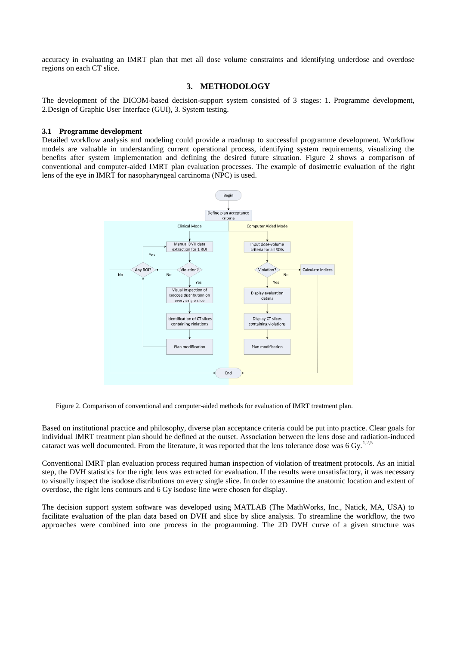accuracy in evaluating an IMRT plan that met all dose volume constraints and identifying underdose and overdose regions on each CT slice.

## **3. METHODOLOGY**

The development of the DICOM-based decision-support system consisted of 3 stages: 1. Programme development, 2.Design of Graphic User Interface (GUI), 3. System testing.

#### **3.1 Programme development**

Detailed workflow analysis and modeling could provide a roadmap to successful programme development. Workflow models are valuable in understanding current operational process, identifying system requirements, visualizing the benefits after system implementation and defining the desired future situation. Figure 2 shows a comparison of conventional and computer-aided IMRT plan evaluation processes. The example of dosimetric evaluation of the right lens of the eye in IMRT for nasopharyngeal carcinoma (NPC) is used.



Figure 2. Comparison of conventional and computer-aided methods for evaluation of IMRT treatment plan.

Based on institutional practice and philosophy, diverse plan acceptance criteria could be put into practice. Clear goals for individual IMRT treatment plan should be defined at the outset. Association between the lens dose and radiation-induced cataract was well documented. From the literature, it was reported that the lens tolerance dose was 6 Gy.<sup>1,2,5</sup>

Conventional IMRT plan evaluation process required human inspection of violation of treatment protocols. As an initial step, the DVH statistics for the right lens was extracted for evaluation. If the results were unsatisfactory, it was necessary to visually inspect the isodose distributions on every single slice. In order to examine the anatomic location and extent of overdose, the right lens contours and 6 Gy isodose line were chosen for display.

The decision support system software was developed using MATLAB (The MathWorks, Inc., Natick, MA, USA) to facilitate evaluation of the plan data based on DVH and slice by slice analysis. To streamline the workflow, the two approaches were combined into one process in the programming. The 2D DVH curve of a given structure was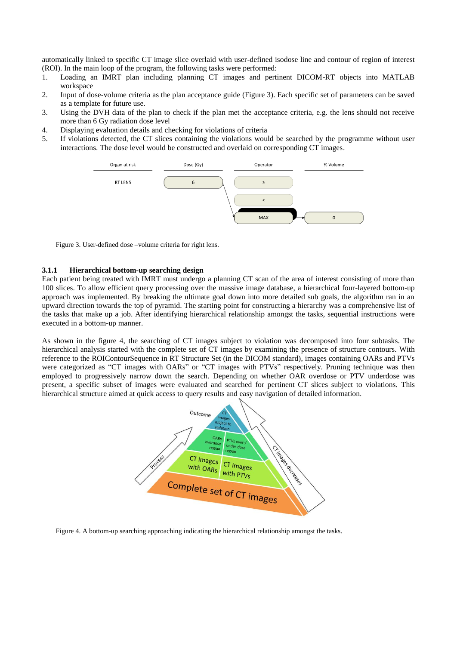automatically linked to specific CT image slice overlaid with user-defined isodose line and contour of region of interest (ROI). In the main loop of the program, the following tasks were performed:

- 1. Loading an IMRT plan including planning CT images and pertinent DICOM-RT objects into MATLAB workspace
- 2. Input of dose-volume criteria as the plan acceptance guide (Figure 3). Each specific set of parameters can be saved as a template for future use.
- 3. Using the DVH data of the plan to check if the plan met the acceptance criteria, e.g. the lens should not receive more than 6 Gy radiation dose level
- 4. Displaying evaluation details and checking for violations of criteria
- 5. If violations detected, the CT slices containing the violations would be searched by the programme without user interactions. The dose level would be constructed and overlaid on corresponding CT images.



Figure 3. User-defined dose –volume criteria for right lens.

## **3.1.1 Hierarchical bottom-up searching design**

Each patient being treated with IMRT must undergo a planning CT scan of the area of interest consisting of more than 100 slices. To allow efficient query processing over the massive image database, a hierarchical four-layered bottom-up approach was implemented. By breaking the ultimate goal down into more detailed sub goals, the algorithm ran in an upward direction towards the top of pyramid. The starting point for constructing a hierarchy was a comprehensive list of the tasks that make up a job. After identifying hierarchical relationship amongst the tasks, sequential instructions were executed in a bottom-up manner.

As shown in the figure 4, the searching of CT images subject to violation was decomposed into four subtasks. The hierarchical analysis started with the complete set of CT images by examining the presence of structure contours. With reference to the ROIContourSequence in RT Structure Set (in the DICOM standard), images containing OARs and PTVs were categorized as "CT images with OARs" or "CT images with PTVs" respectively. Pruning technique was then employed to progressively narrow down the search. Depending on whether OAR overdose or PTV underdose was present, a specific subset of images were evaluated and searched for pertinent CT slices subject to violations. This hierarchical structure aimed at quick access to query results and easy navigation of detailed information.



Figure 4. A bottom-up searching approaching indicating the hierarchical relationship amongst the tasks.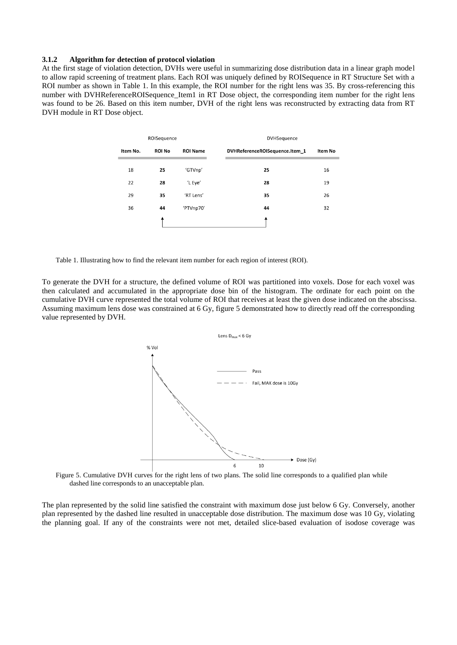#### **3.1.2 Algorithm for detection of protocol violation**

At the first stage of violation detection, DVHs were useful in summarizing dose distribution data in a linear graph model to allow rapid screening of treatment plans. Each ROI was uniquely defined by ROISequence in RT Structure Set with a ROI number as shown in Table 1. In this example, the ROI number for the right lens was 35. By cross-referencing this number with DVHReferenceROISequence Item1 in RT Dose object, the corresponding item number for the right lens was found to be 26. Based on this item number, DVH of the right lens was reconstructed by extracting data from RT DVH module in RT Dose object.

|          | ROISequence   |                 | DVHSequence                    |         |  |  |  |  |  |
|----------|---------------|-----------------|--------------------------------|---------|--|--|--|--|--|
| Item No. | <b>ROI No</b> | <b>ROI Name</b> | DVHReferenceROISequence.Item_1 | Item No |  |  |  |  |  |
| 18       | 25            | 'GTVnp'         | 25                             | 16      |  |  |  |  |  |
| 22       | 28            | 'L Eye'         | 28                             | 19      |  |  |  |  |  |
| 29       | 35            | 'RT Lens'       | 35                             | 26      |  |  |  |  |  |
| 36       | 44            | 'PTVnp70'       | 44                             | 32      |  |  |  |  |  |
|          |               |                 |                                |         |  |  |  |  |  |

Table 1. Illustrating how to find the relevant item number for each region of interest (ROI).

To generate the DVH for a structure, the defined volume of ROI was partitioned into voxels. Dose for each voxel was then calculated and accumulated in the appropriate dose bin of the histogram. The ordinate for each point on the cumulative DVH curve represented the total volume of ROI that receives at least the given dose indicated on the abscissa. Assuming maximum lens dose was constrained at 6 Gy, figure 5 demonstrated how to directly read off the corresponding value represented by DVH.



Figure 5. Cumulative DVH curves for the right lens of two plans. The solid line corresponds to a qualified plan while dashed line corresponds to an unacceptable plan.

The plan represented by the solid line satisfied the constraint with maximum dose just below 6 Gy. Conversely, another plan represented by the dashed line resulted in unacceptable dose distribution. The maximum dose was 10 Gy, violating the planning goal. If any of the constraints were not met, detailed slice-based evaluation of isodose coverage was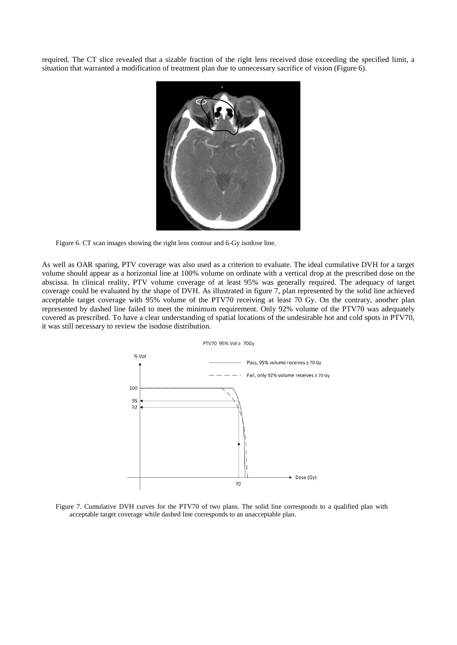required. The CT slice revealed that a sizable fraction of the right lens received dose exceeding the specified limit, a situation that warranted a modification of treatment plan due to unnecessary sacrifice of vision (Figure 6).



Figure 6. CT scan images showing the right lens contour and 6-Gy isodose line.

As well as OAR sparing, PTV coverage was also used as a criterion to evaluate. The ideal cumulative DVH for a target volume should appear as a horizontal line at 100% volume on ordinate with a vertical drop at the prescribed dose on the abscissa. In clinical reality, PTV volume coverage of at least 95% was generally required. The adequacy of target coverage could be evaluated by the shape of DVH. As illustrated in figure 7, plan represented by the solid line achieved acceptable target coverage with 95% volume of the PTV70 receiving at least 70 Gy. On the contrary, another plan represented by dashed line failed to meet the minimum requirement. Only 92% volume of the PTV70 was adequately covered as prescribed. To have a clear understanding of spatial locations of the undesirable hot and cold spots in PTV70, it was still necessary to review the isodose distribution.



Figure 7. Cumulative DVH curves for the PTV70 of two plans. The solid line corresponds to a qualified plan with acceptable target coverage while dashed line corresponds to an unacceptable plan.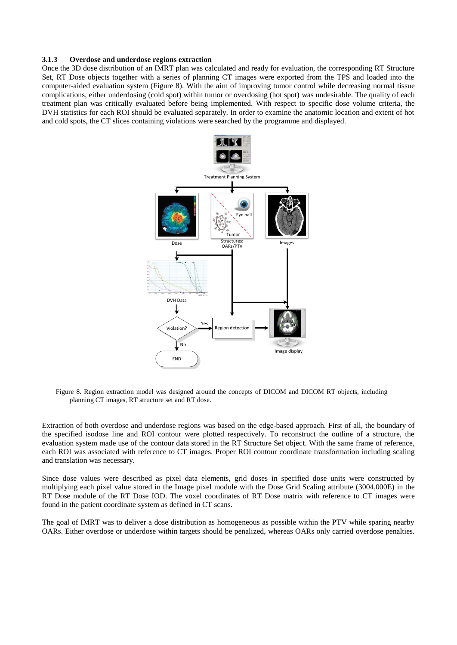#### **3.1.3 Overdose and underdose regions extraction**

Once the 3D dose distribution of an IMRT plan was calculated and ready for evaluation, the corresponding RT Structure Set, RT Dose objects together with a series of planning CT images were exported from the TPS and loaded into the computer-aided evaluation system (Figure 8). With the aim of improving tumor control while decreasing normal tissue complications, either underdosing (cold spot) within tumor or overdosing (hot spot) was undesirable. The quality of each treatment plan was critically evaluated before being implemented. With respect to specific dose volume criteria, the DVH statistics for each ROI should be evaluated separately. In order to examine the anatomic location and extent of hot and cold spots, the CT slices containing violations were searched by the programme and displayed.



Figure 8. Region extraction model was designed around the concepts of DICOM and DICOM RT objects, including planning CT images, RT structure set and RT dose.

Extraction of both overdose and underdose regions was based on the edge-based approach. First of all, the boundary of the specified isodose line and ROI contour were plotted respectively. To reconstruct the outline of a structure, the evaluation system made use of the contour data stored in the RT Structure Set object. With the same frame of reference, each ROI was associated with reference to CT images. Proper ROI contour coordinate transformation including scaling and translation was necessary.

Since dose values were described as pixel data elements, grid doses in specified dose units were constructed by multiplying each pixel value stored in the Image pixel module with the Dose Grid Scaling attribute (3004,000E) in the RT Dose module of the RT Dose IOD. The voxel coordinates of RT Dose matrix with reference to CT images were found in the patient coordinate system as defined in CT scans.

The goal of IMRT was to deliver a dose distribution as homogeneous as possible within the PTV while sparing nearby OARs. Either overdose or underdose within targets should be penalized, whereas OARs only carried overdose penalties.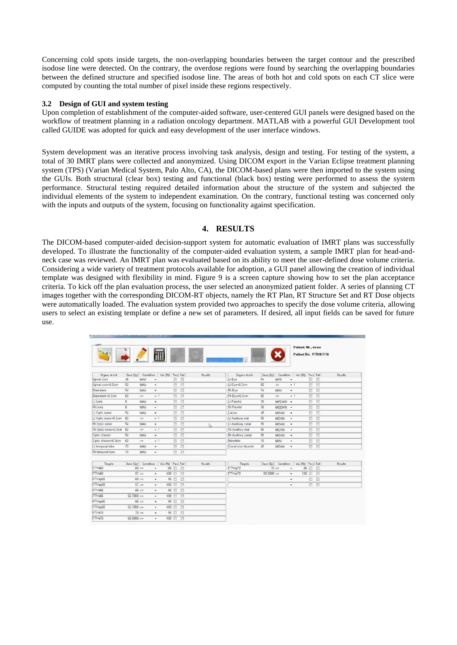Concerning cold spots inside targets, the non-overlapping boundaries between the target contour and the prescribed isodose line were detected. On the contrary, the overdose regions were found by searching the overlapping boundaries between the defined structure and specified isodose line. The areas of both hot and cold spots on each CT slice were computed by counting the total number of pixel inside these regions respectively.

## **3.2 Design of GUI and system testing**

Upon completion of establishment of the computer-aided software, user-centered GUI panels were designed based on the workflow of treatment planning in a radiation oncology department. MATLAB with a powerful GUI Development tool called GUIDE was adopted for quick and easy development of the user interface windows.

System development was an iterative process involving task analysis, design and testing. For testing of the system, a total of 30 IMRT plans were collected and anonymized. Using DICOM export in the Varian Eclipse treatment planning system (TPS) (Varian Medical System, Palo Alto, CA), the DICOM-based plans were then imported to the system using the GUIs. Both structural (clear box) testing and functional (black box) testing were performed to assess the system performance. Structural testing required detailed information about the structure of the system and subjected the individual elements of the system to independent examination. On the contrary, functional testing was concerned only with the inputs and outputs of the system, focusing on functionality against specification.

# **4. RESULTS**

The DICOM-based computer-aided decision-support system for automatic evaluation of IMRT plans was successfully developed. To illustrate the functionality of the computer-aided evaluation system, a sample IMRT plan for head-andneck case was reviewed. An IMRT plan was evaluated based on its ability to meet the user-defined dose volume criteria. Considering a wide variety of treatment protocols available for adoption, a GUI panel allowing the creation of individual template was designed with flexibility in mind. Figure 9 is a screen capture showing how to set the plan acceptance criteria. To kick off the plan evaluation process, the user selected an anonymized patient folder. A series of planning CT images together with the corresponding DICOM-RT objects, namely the RT Plan, RT Structure Set and RT Dose objects were automatically loaded. The evaluation system provided two approaches to specify the dose volume criteria, allowing users to select an existing template or define a new set of parameters. If desired, all input fields can be saved for future use.

| APPS.<br><b>EXICE</b>   |            |                     |                    |              |                |         | ■ HET T = TP 10 THE ■ |            |                     |      | Patient: Mr., demo |    | Patient IDs: RTD10.3116 |         |
|-------------------------|------------|---------------------|--------------------|--------------|----------------|---------|-----------------------|------------|---------------------|------|--------------------|----|-------------------------|---------|
| Organs at risk          |            | Dose (Gy) Condition | Vol. (%)           | Pass Fail    |                | Results | Organs at risk        |            | Dose (Gy) Condition |      | Vol. (%)           |    | Pass Fail               | Results |
| Spinal cord             | 45         | <b>MAX</b><br>٠     |                    | 圓            | 胆              |         | LI Eye                | 54         | MAX                 | ٠    |                    | 圜  | 图                       |         |
| Spinal cord+0.5cm       | 50         | MAX<br>۰            |                    | 围            | 週              |         | Lt Eye+0.3cm          | 60         | $\leftarrow$        | $+1$ |                    | E  | Ð                       |         |
| Brainstem               | 54         | MAX<br>٠            |                    | 門            | 囲              |         | Rt Eye                | 54         | MAX                 | ٠    |                    | 囲  | E                       |         |
| Brainstern40.3cm        | 60         | œ                   | $+1$               | 団            | 启              |         | Rt Eye+0.3cm          | 60         | do.                 | $+1$ |                    | 同  | E                       |         |
| Lt Lens                 | 6          | MAX<br>٠            |                    | 图            | 旧              |         | Lt Parotid            | 30         | <b>MEDIAN</b>       | ٠    |                    | 面  | E                       |         |
| <b>Rt Lons</b>          | 6          | <b>MAX</b><br>٠     |                    | 图            | 泗              |         | <b>Rt Paretid</b>     | 30         | MEDIAN -            |      |                    | 囯  | E                       |         |
| Lt Optic nerve          | 54         | MAX<br>٠            |                    | 目            | 週              |         | Larynx                | 45         | MEAN                | ٠    |                    | 団  | B                       |         |
| Lt Optic nerve +0.3cm   | 60         | œ                   | $+1$               | 門            | 且              |         | Lt Auditory inst      | 50         | MEAN                | ٠    |                    | 門  | E                       |         |
| Rt Optic nerve          | 54         | MAX<br>۰            |                    | 思            | 週              |         | Lt Auditory canal     | 50         | MEAN                | ٠    |                    | 置  | E                       |         |
| Rt Optic nerve+0.3cm 60 |            | $\leftarrow$        | $+1$               | 思            | 泗              |         | Rt Auditory inst      | 50         | MEAN                | ٠    |                    | 罝  | E                       |         |
| Optic chiasm            | 54         | MAX<br>٠            |                    | 昌            | 旧              |         | Rt Auditory canal     | 50         | MEAN                | ٠    |                    | 面  | E                       |         |
| Optic chiasm+0.3cm      | 60         | $\leftarrow$        | $-1$               | 围            | 启              |         | Mandible              | 70         | MAX                 | ٠    |                    | 置  | F                       |         |
| Lt temporal lobe        | $70-$      | MAX<br>٠            |                    | 出            | 泗              |         | Constrictor Muscle    | 45         | MEAN                | ٠    |                    | 眉  | Ð                       |         |
| Rt temporal lobe        | 70         | MAX<br>۰            |                    | 思            | 后              |         |                       |            |                     |      |                    |    |                         |         |
| Targets                 |            | Dose (Gy) Condition | Vol. (%) Pass Fail |              |                | Results | Tergets               |            | Dose (Gy) Condition |      | Vol. (%) Pass Fail |    |                         | Results |
| PTVn60                  | $60 =$     | ٠                   |                    | 95           | $\Box$         |         | PTVnp70               |            | 70.34               | ٠    |                    | 95 | 目                       |         |
| PTVn60                  | 57.30      | ٠                   |                    | 100          | 洞              |         | PTVnp70               | 66,5000 >= |                     | ٠    | 100                |    | 邑                       |         |
| PTVnp60                 | 60.94      | ٠                   |                    | 95 回         | 酒              |         |                       |            |                     | ۰    |                    | 酉  | 郡                       |         |
| PTVnp60                 | 57.34      | v.                  |                    | $100 - 17$   | 酒              |         |                       |            |                     | ٠    |                    | 查  | B                       |         |
| PTVn66                  | 68.38      | ۰                   |                    | 95 回         | 面              |         |                       |            |                     |      |                    |    |                         |         |
| PTVn66                  | 62.7000 >m | ۰                   |                    | $100$ $\Box$ | $\mathbb{R}^n$ |         |                       |            |                     |      |                    |    |                         |         |
| PTVnp66                 | 66 p=      | ٠                   |                    | 95 11        | 酒              |         |                       |            |                     |      |                    |    |                         |         |
| PTVnp66                 | 62.7000 >= | ٠                   |                    | $100 - 1$    | 西              |         |                       |            |                     |      |                    |    |                         |         |
| PTVn70                  | 70.94      | ٠                   |                    | 95 回         | 面              |         |                       |            |                     |      |                    |    |                         |         |
| PTVn70                  | 66.5000 >= | ÷.                  |                    | 100          | m              |         |                       |            |                     |      |                    |    |                         |         |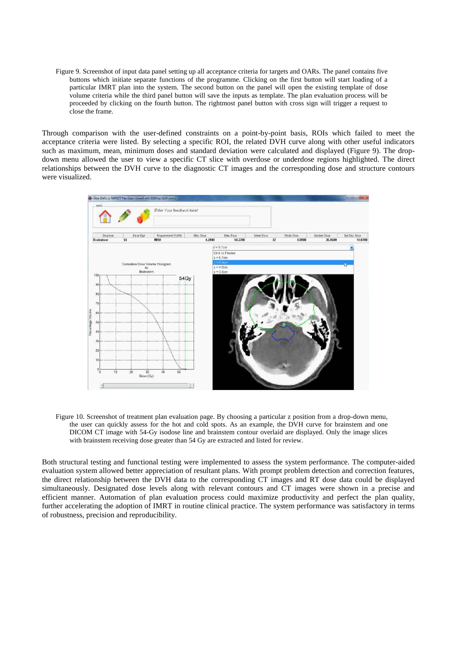Figure 9. Screenshot of input data panel setting up all acceptance criteria for targets and OARs. The panel contains five buttons which initiate separate functions of the programme. Clicking on the first button will start loading of a particular IMRT plan into the system. The second button on the panel will open the existing template of dose volume criteria while the third panel button will save the inputs as template. The plan evaluation process will be proceeded by clicking on the fourth button. The rightmost panel button with cross sign will trigger a request to close the frame.

Through comparison with the user-defined constraints on a point-by-point basis, ROIs which failed to meet the acceptance criteria were listed. By selecting a specific ROI, the related DVH curve along with other useful indicators such as maximum, mean, minimum doses and standard deviation were calculated and displayed (Figure 9). The dropdown menu allowed the user to view a specific CT slice with overdose or underdose regions highlighted. The direct relationships between the DVH curve to the diagnostic CT images and the corresponding dose and structure contours were visualized.



Figure 10. Screenshot of treatment plan evaluation page. By choosing a particular z position from a drop-down menu, the user can quickly assess for the hot and cold spots. As an example, the DVH curve for brainstem and one DICOM CT image with 54-Gy isodose line and brainstem contour overlaid are displayed. Only the image slices with brainstem receiving dose greater than 54 Gy are extracted and listed for review.

Both structural testing and functional testing were implemented to assess the system performance. The computer-aided evaluation system allowed better appreciation of resultant plans. With prompt problem detection and correction features, the direct relationship between the DVH data to the corresponding CT images and RT dose data could be displayed simultaneously. Designated dose levels along with relevant contours and CT images were shown in a precise and efficient manner. Automation of plan evaluation process could maximize productivity and perfect the plan quality, further accelerating the adoption of IMRT in routine clinical practice. The system performance was satisfactory in terms of robustness, precision and reproducibility.